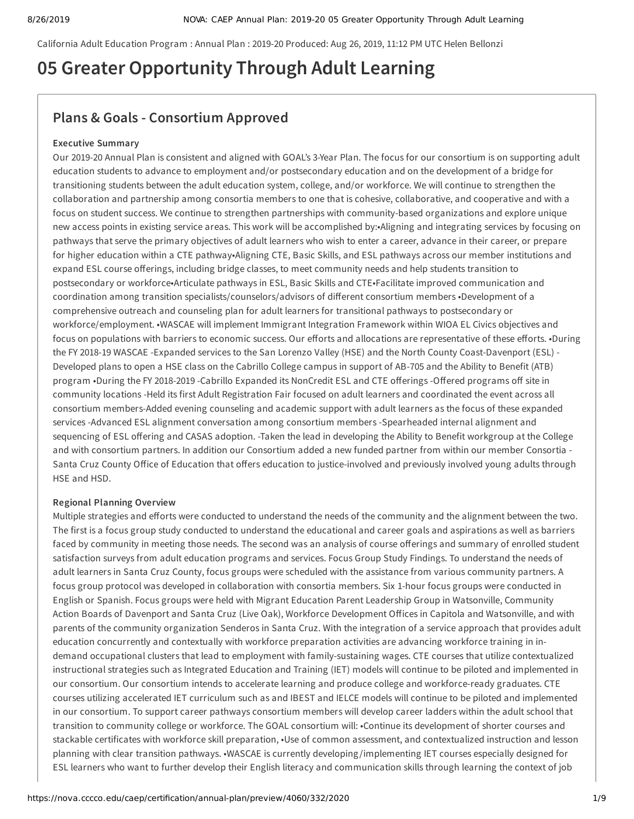California Adult Education Program : Annual Plan : 2019-20 Produced: Aug 26, 2019, 11:12 PM UTC Helen Bellonzi

# **05 Greater Opportunity Through Adult Learning**

## **Plans & Goals - Consortium Approved**

#### **Executive Summary**

Our 2019-20 Annual Plan is consistent and aligned with GOAL's 3-Year Plan. The focus for our consortium is on supporting adult education students to advance to employment and/or postsecondary education and on the development of a bridge for transitioning students between the adult education system, college, and/or workforce. We will continue to strengthen the collaboration and partnership among consortia members to one that is cohesive, collaborative, and cooperative and with a focus on student success. We continue to strengthen partnerships with community-based organizations and explore unique new access points in existing service areas. This work will be accomplished by:•Aligning and integrating services by focusing on pathways that serve the primary objectives of adult learners who wish to enter a career, advance in their career, or prepare for higher education within a CTE pathway•Aligning CTE, Basic Skills, and ESL pathways across our member institutions and expand ESL course offerings, including bridge classes, to meet community needs and help students transition to postsecondary or workforce•Articulate pathways in ESL, Basic Skills and CTE•Facilitate improved communication and coordination among transition specialists/counselors/advisors of different consortium members •Development of a comprehensive outreach and counseling plan for adult learners for transitional pathways to postsecondary or workforce/employment. •WASCAE will implement Immigrant Integration Framework within WIOA EL Civics objectives and focus on populations with barriers to economic success. Our efforts and allocations are representative of these efforts. •During the FY 2018-19 WASCAE -Expanded services to the San Lorenzo Valley (HSE) and the North County Coast-Davenport (ESL) - Developed plans to open a HSE class on the Cabrillo College campus in support of AB-705 and the Ability to Benefit (ATB) program •During the FY 2018-2019 -Cabrillo Expanded its NonCredit ESL and CTE offerings -Offered programs off site in community locations -Held its first Adult Registration Fair focused on adult learners and coordinated the event across all consortium members-Added evening counseling and academic support with adult learners as the focus of these expanded services -Advanced ESL alignment conversation among consortium members -Spearheaded internal alignment and sequencing of ESL offering and CASAS adoption. -Taken the lead in developing the Ability to Benefit workgroup at the College and with consortium partners. In addition our Consortium added a new funded partner from within our member Consortia - Santa Cruz County Office of Education that offers education to justice-involved and previously involved young adults through HSE and HSD.

#### **Regional Planning Overview**

Multiple strategies and efforts were conducted to understand the needs of the community and the alignment between the two. The first is a focus group study conducted to understand the educational and career goals and aspirations as well as barriers faced by community in meeting those needs. The second was an analysis of course offerings and summary of enrolled student satisfaction surveys from adult education programs and services. Focus Group Study Findings. To understand the needs of adult learners in Santa Cruz County, focus groups were scheduled with the assistance from various community partners. A focus group protocol was developed in collaboration with consortia members. Six 1-hour focus groups were conducted in English or Spanish. Focus groups were held with Migrant Education Parent Leadership Group in Watsonville, Community Action Boards of Davenport and Santa Cruz (Live Oak), Workforce Development Offices in Capitola and Watsonville, and with parents of the community organization Senderos in Santa Cruz. With the integration of a service approach that provides adult education concurrently and contextually with workforce preparation activities are advancing workforce training in indemand occupational clusters that lead to employment with family-sustaining wages. CTE courses that utilize contextualized instructional strategies such as Integrated Education and Training (IET) models will continue to be piloted and implemented in our consortium. Our consortium intends to accelerate learning and produce college and workforce-ready graduates. CTE courses utilizing accelerated IET curriculum such as and IBEST and IELCE models will continue to be piloted and implemented in our consortium. To support career pathways consortium members will develop career ladders within the adult school that transition to community college or workforce. The GOAL consortium will: •Continue its development of shorter courses and stackable certificates with workforce skill preparation, •Use of common assessment, and contextualized instruction and lesson planning with clear transition pathways. •WASCAE is currently developing /implementing IET courses especially designed for ESL learners who want to further develop their English literacy and communication skills through learning the context of job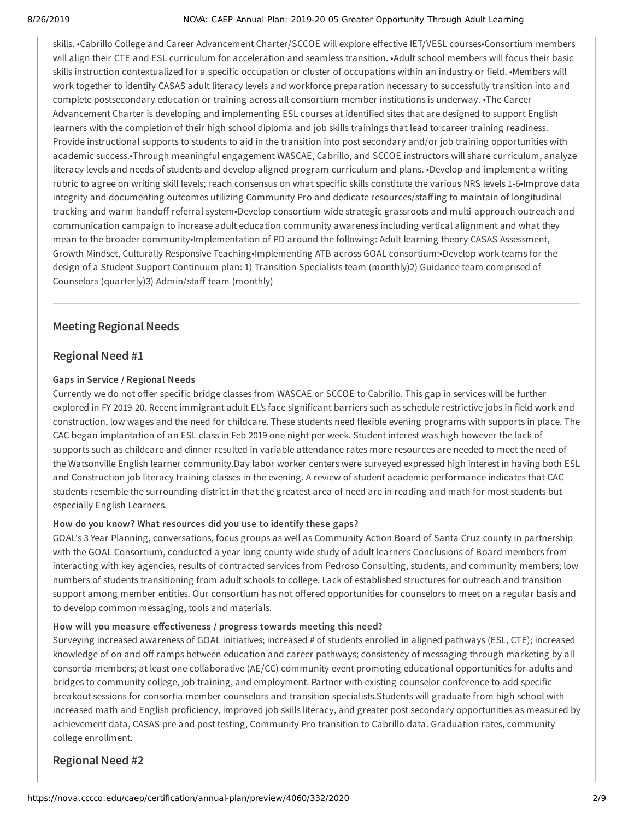#### 8/26/2019 NOVA: CAEP Annual Plan: 2019-20 05 Greater Opportunity Through Adult Learning

skills. •Cabrillo College and Career Advancement Charter/SCCOE will explore effective IET/VESL courses•Consortium members will align their CTE and ESL curriculum for acceleration and seamless transition. •Adult school members will focus their basic skills instruction contextualized for a specific occupation or cluster of occupations within an industry or field. •Members will work together to identify CASAS adult literacy levels and workforce preparation necessary to successfully transition into and complete postsecondary education or training across all consortium member institutions is underway. •The Career Advancement Charter is developing and implementing ESL courses at identified sites that are designed to support English learners with the completion of their high school diploma and job skills trainings that lead to career training readiness. Provide instructional supports to students to aid in the transition into post secondary and/or job training opportunities with academic success.•Through meaningful engagement WASCAE, Cabrillo, and SCCOE instructors will share curriculum, analyze literacy levels and needs of students and develop aligned program curriculum and plans. •Develop and implement a writing rubric to agree on writing skill levels; reach consensus on what specific skills constitute the various NRS levels 1-6•Improve data integrity and documenting outcomes utilizing Community Pro and dedicate resources/staffing to maintain of longitudinal tracking and warm handoff referral system•Develop consortium wide strategic grassroots and multi-approach outreach and communication campaign to increase adult education community awareness including vertical alignment and what they mean to the broader community•Implementation of PD around the following: Adult learning theory CASAS Assessment, Growth Mindset, Culturally Responsive Teaching•Implementing ATB across GOAL consortium:•Develop work teams for the design of a Student Support Continuum plan: 1) Transition Specialists team (monthly)2) Guidance team comprised of Counselors (quarterly)3) Admin/staff team (monthly)

## **Meeting Regional Needs**

### **Regional Need #1**

#### **Gaps in Service / Regional Needs**

Currently we do not offer specific bridge classes from WASCAE or SCCOE to Cabrillo. This gap in services will be further explored in FY 2019-20. Recent immigrant adult EL's face significant barriers such as schedule restrictive jobs in field work and construction, low wages and the need for childcare. These students need flexible evening programs with supports in place. The CAC began implantation of an ESL class in Feb 2019 one night per week. Student interest was high however the lack of supports such as childcare and dinner resulted in variable attendance rates more resources are needed to meet the need of the Watsonville English learner community.Day labor worker centers were surveyed expressed high interest in having both ESL and Construction job literacy training classes in the evening. A review of student academic performance indicates that CAC students resemble the surrounding district in that the greatest area of need are in reading and math for most students but especially English Learners.

#### **How do you know? What resources did you use to identify these gaps?**

GOAL's 3 Year Planning, conversations, focus groups as well as Community Action Board of Santa Cruz county in partnership with the GOAL Consortium, conducted a year long county wide study of adult learners Conclusions of Board members from interacting with key agencies, results of contracted services from Pedroso Consulting, students, and community members; low numbers of students transitioning from adult schools to college. Lack of established structures for outreach and transition support among member entities. Our consortium has not offered opportunities for counselors to meet on a regular basis and to develop common messaging, tools and materials.

#### How will you measure effectiveness / progress towards meeting this need?

Surveying increased awareness of GOAL initiatives; increased # of students enrolled in aligned pathways (ESL, CTE); increased knowledge of on and off ramps between education and career pathways; consistency of messaging through marketing by all consortia members; at least one collaborative (AE/CC) community event promoting educational opportunities for adults and bridges to community college, job training, and employment. Partner with existing counselor conference to add specific breakout sessions for consortia member counselors and transition specialists.Students will graduate from high school with increased math and English proficiency, improved job skills literacy, and greater post secondary opportunities as measured by achievement data, CASAS pre and post testing, Community Pro transition to Cabrillo data. Graduation rates, community college enrollment.

## **Regional Need #2**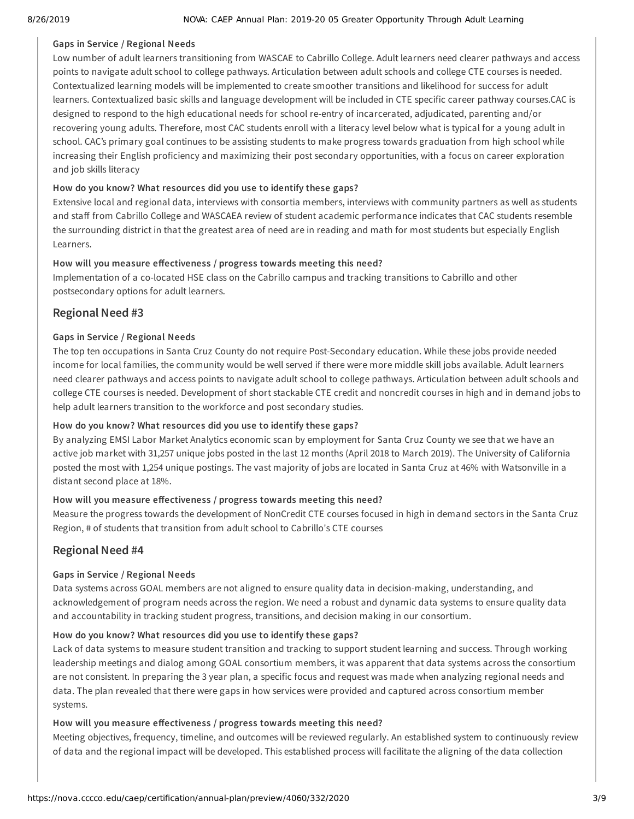#### **Gaps in Service / Regional Needs**

Low number of adult learners transitioning from WASCAE to Cabrillo College. Adult learners need clearer pathways and access points to navigate adult school to college pathways. Articulation between adult schools and college CTE courses is needed. Contextualized learning models will be implemented to create smoother transitions and likelihood for success for adult learners. Contextualized basic skills and language development will be included in CTE specific career pathway courses.CAC is designed to respond to the high educational needs for school re-entry of incarcerated, adjudicated, parenting and/or recovering young adults. Therefore, most CAC students enroll with a literacy level below what is typical for a young adult in school. CAC's primary goal continues to be assisting students to make progress towards graduation from high school while increasing their English proficiency and maximizing their post secondary opportunities, with a focus on career exploration and job skills literacy

#### **How do you know? What resources did you use to identify these gaps?**

Extensive local and regional data, interviews with consortia members, interviews with community partners as well as students and staff from Cabrillo College and WASCAEA review of student academic performance indicates that CAC students resemble the surrounding district in that the greatest area of need are in reading and math for most students but especially English Learners.

#### How will you measure effectiveness / progress towards meeting this need?

Implementation of a co-located HSE class on the Cabrillo campus and tracking transitions to Cabrillo and other postsecondary options for adult learners.

### **Regional Need #3**

#### **Gaps in Service / Regional Needs**

The top ten occupations in Santa Cruz County do not require Post-Secondary education. While these jobs provide needed income for local families, the community would be well served if there were more middle skill jobs available. Adult learners need clearer pathways and access points to navigate adult school to college pathways. Articulation between adult schools and college CTE courses is needed. Development of short stackable CTE credit and noncredit courses in high and in demand jobs to help adult learners transition to the workforce and post secondary studies.

#### **How do you know? What resources did you use to identify these gaps?**

By analyzing EMSI Labor Market Analytics economic scan by employment for Santa Cruz County we see that we have an active job market with 31,257 unique jobs posted in the last 12 months (April 2018 to March 2019). The University of California posted the most with 1,254 unique postings. The vast majority of jobs are located in Santa Cruz at 46% with Watsonville in a distant second place at 18%.

#### How will you measure effectiveness / progress towards meeting this need?

Measure the progress towards the development of NonCredit CTE courses focused in high in demand sectors in the Santa Cruz Region, # of students that transition from adult school to Cabrillo's CTE courses

### **Regional Need #4**

#### **Gaps in Service / Regional Needs**

Data systems across GOAL members are not aligned to ensure quality data in decision-making, understanding, and acknowledgement of program needs across the region. We need a robust and dynamic data systems to ensure quality data and accountability in tracking student progress, transitions, and decision making in our consortium.

#### **How do you know? What resources did you use to identify these gaps?**

Lack of data systems to measure student transition and tracking to support student learning and success. Through working leadership meetings and dialog among GOAL consortium members, it was apparent that data systems across the consortium are not consistent. In preparing the 3 year plan, a specific focus and request was made when analyzing regional needs and data. The plan revealed that there were gaps in how services were provided and captured across consortium member systems.

#### How will you measure effectiveness / progress towards meeting this need?

Meeting objectives, frequency, timeline, and outcomes will be reviewed regularly. An established system to continuously review of data and the regional impact will be developed. This established process will facilitate the aligning of the data collection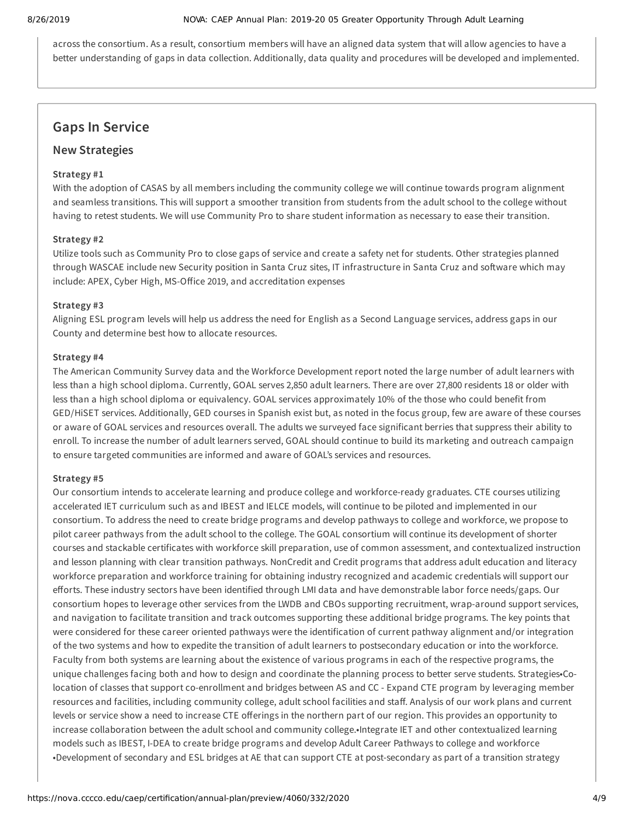across the consortium. As a result, consortium members will have an aligned data system that will allow agencies to have a better understanding of gaps in data collection. Additionally, data quality and procedures will be developed and implemented.

## **Gaps In Service**

#### **New Strategies**

#### **Strategy #1**

With the adoption of CASAS by all members including the community college we will continue towards program alignment and seamless transitions. This will support a smoother transition from students from the adult school to the college without having to retest students. We will use Community Pro to share student information as necessary to ease their transition.

#### **Strategy #2**

Utilize tools such as Community Pro to close gaps of service and create a safety net for students. Other strategies planned through WASCAE include new Security position in Santa Cruz sites, IT infrastructure in Santa Cruz and software which may include: APEX, Cyber High, MS-Office 2019, and accreditation expenses

#### **Strategy #3**

Aligning ESL program levels will help us address the need for English as a Second Language services, address gaps in our County and determine best how to allocate resources.

#### **Strategy #4**

The American Community Survey data and the Workforce Development report noted the large number of adult learners with less than a high school diploma. Currently, GOAL serves 2,850 adult learners. There are over 27,800 residents 18 or older with less than a high school diploma or equivalency. GOAL services approximately 10% of the those who could benefit from GED/HiSET services. Additionally, GED courses in Spanish exist but, as noted in the focus group, few are aware of these courses or aware of GOAL services and resources overall. The adults we surveyed face significant berries that suppress their ability to enroll. To increase the number of adult learners served, GOAL should continue to build its marketing and outreach campaign to ensure targeted communities are informed and aware of GOAL's services and resources.

#### **Strategy #5**

Our consortium intends to accelerate learning and produce college and workforce-ready graduates. CTE courses utilizing accelerated IET curriculum such as and IBEST and IELCE models, will continue to be piloted and implemented in our consortium. To address the need to create bridge programs and develop pathways to college and workforce, we propose to pilot career pathways from the adult school to the college. The GOAL consortium will continue its development of shorter courses and stackable certificates with workforce skill preparation, use of common assessment, and contextualized instruction and lesson planning with clear transition pathways. NonCredit and Credit programs that address adult education and literacy workforce preparation and workforce training for obtaining industry recognized and academic credentials will support our efforts. These industry sectors have been identified through LMI data and have demonstrable labor force needs/gaps. Our consortium hopes to leverage other services from the LWDB and CBOs supporting recruitment, wrap-around support services, and navigation to facilitate transition and track outcomes supporting these additional bridge programs. The key points that were considered for these career oriented pathways were the identification of current pathway alignment and/or integration of the two systems and how to expedite the transition of adult learners to postsecondary education or into the workforce. Faculty from both systems are learning about the existence of various programs in each of the respective programs, the unique challenges facing both and how to design and coordinate the planning process to better serve students. Strategies•Colocation of classes that support co-enrollment and bridges between AS and CC - Expand CTE program by leveraging member resources and facilities, including community college, adult school facilities and staff. Analysis of our work plans and current levels or service show a need to increase CTE offerings in the northern part of our region. This provides an opportunity to increase collaboration between the adult school and community college.•Integrate IET and other contextualized learning models such as IBEST, I-DEA to create bridge programs and develop Adult Career Pathways to college and workforce •Development of secondary and ESL bridges at AE that can support CTE at post-secondary as part of a transition strategy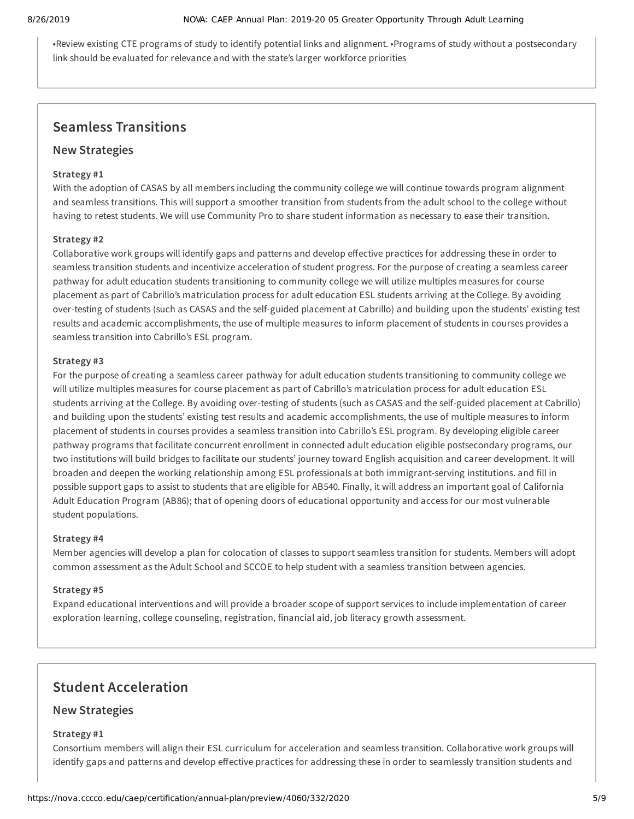•Review existing CTE programs of study to identify potential links and alignment. •Programs of study without a postsecondary link should be evaluated for relevance and with the state's larger workforce priorities

## **Seamless Transitions**

#### **New Strategies**

#### **Strategy #1**

With the adoption of CASAS by all members including the community college we will continue towards program alignment and seamless transitions. This will support a smoother transition from students from the adult school to the college without having to retest students. We will use Community Pro to share student information as necessary to ease their transition.

#### **Strategy #2**

Collaborative work groups will identify gaps and patterns and develop effective practices for addressing these in order to seamless transition students and incentivize acceleration of student progress. For the purpose of creating a seamless career pathway for adult education students transitioning to community college we will utilize multiples measures for course placement as part of Cabrillo's matriculation process for adult education ESL students arriving at the College. By avoiding over-testing of students (such as CASAS and the self-guided placement at Cabrillo) and building upon the students' existing test results and academic accomplishments, the use of multiple measures to inform placement of students in courses provides a seamless transition into Cabrillo's ESL program.

#### **Strategy #3**

For the purpose of creating a seamless career pathway for adult education students transitioning to community college we will utilize multiples measures for course placement as part of Cabrillo's matriculation process for adult education ESL students arriving at the College. By avoiding over-testing of students (such as CASAS and the self-guided placement at Cabrillo) and building upon the students' existing test results and academic accomplishments, the use of multiple measures to inform placement of students in courses provides a seamless transition into Cabrillo's ESL program. By developing eligible career pathway programs that facilitate concurrent enrollment in connected adult education eligible postsecondary programs, our two institutions will build bridges to facilitate our students' journey toward English acquisition and career development. It will broaden and deepen the working relationship among ESL professionals at both immigrant-serving institutions. and fill in possible support gaps to assist to students that are eligible for AB540. Finally, it will address an important goal of California Adult Education Program (AB86); that of opening doors of educational opportunity and access for our most vulnerable student populations.

#### **Strategy #4**

Member agencies will develop a plan for colocation of classes to support seamless transition for students. Members will adopt common assessment as the Adult School and SCCOE to help student with a seamless transition between agencies.

#### **Strategy #5**

Expand educational interventions and will provide a broader scope of support services to include implementation of career exploration learning, college counseling, registration, financial aid, job literacy growth assessment.

## **Student Acceleration**

### **New Strategies**

#### **Strategy #1**

Consortium members will align their ESL curriculum for acceleration and seamless transition. Collaborative work groups will identify gaps and patterns and develop effective practices for addressing these in order to seamlessly transition students and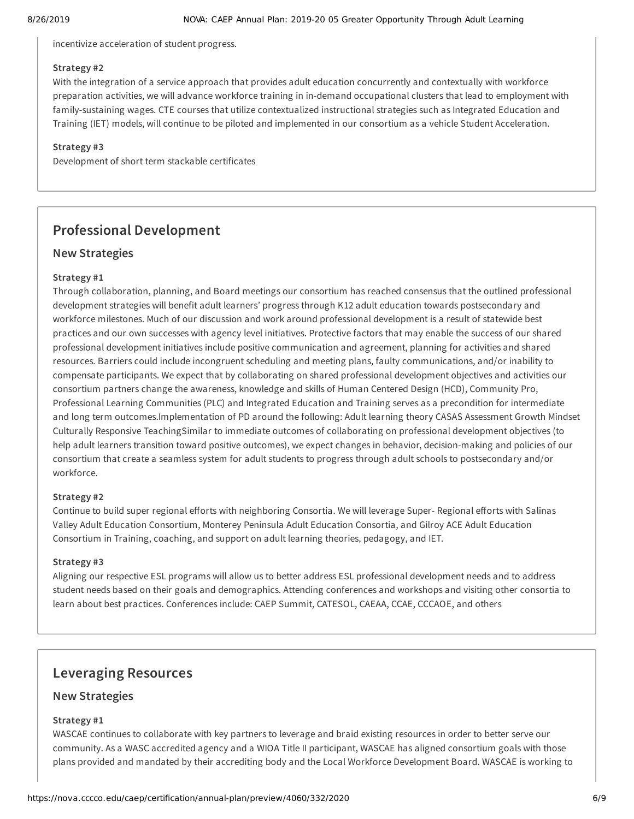incentivize acceleration of student progress.

#### **Strategy #2**

With the integration of a service approach that provides adult education concurrently and contextually with workforce preparation activities, we will advance workforce training in in-demand occupational clusters that lead to employment with family-sustaining wages. CTE courses that utilize contextualized instructional strategies such as Integrated Education and Training (IET) models, will continue to be piloted and implemented in our consortium as a vehicle Student Acceleration.

#### **Strategy #3**

Development of short term stackable certificates

## **Professional Development**

### **New Strategies**

#### **Strategy #1**

Through collaboration, planning, and Board meetings our consortium has reached consensus that the outlined professional development strategies will benefit adult learners' progress through K12 adult education towards postsecondary and workforce milestones. Much of our discussion and work around professional development is a result of statewide best practices and our own successes with agency level initiatives. Protective factors that may enable the success of our shared professional development initiatives include positive communication and agreement, planning for activities and shared resources. Barriers could include incongruent scheduling and meeting plans, faulty communications, and/or inability to compensate participants. We expect that by collaborating on shared professional development objectives and activities our consortium partners change the awareness, knowledge and skills of Human Centered Design (HCD), Community Pro, Professional Learning Communities (PLC) and Integrated Education and Training serves as a precondition for intermediate and long term outcomes.Implementation of PD around the following: Adult learning theory CASAS Assessment Growth Mindset Culturally Responsive TeachingSimilar to immediate outcomes of collaborating on professional development objectives (to help adult learners transition toward positive outcomes), we expect changes in behavior, decision-making and policies of our consortium that create a seamless system for adult students to progress through adult schools to postsecondary and/or workforce.

#### **Strategy #2**

Continue to build super regional efforts with neighboring Consortia. We will leverage Super- Regional efforts with Salinas Valley Adult Education Consortium, Monterey Peninsula Adult Education Consortia, and Gilroy ACE Adult Education Consortium in Training, coaching, and support on adult learning theories, pedagogy, and IET.

#### **Strategy #3**

Aligning our respective ESL programs will allow us to better address ESL professional development needs and to address student needs based on their goals and demographics. Attending conferences and workshops and visiting other consortia to learn about best practices. Conferences include: CAEP Summit, CATESOL, CAEAA, CCAE, CCCAOE, and others

## **Leveraging Resources**

### **New Strategies**

#### **Strategy #1**

WASCAE continues to collaborate with key partners to leverage and braid existing resources in order to better serve our community. As a WASC accredited agency and a WIOA Title II participant, WASCAE has aligned consortium goals with those plans provided and mandated by their accrediting body and the Local Workforce Development Board. WASCAE is working to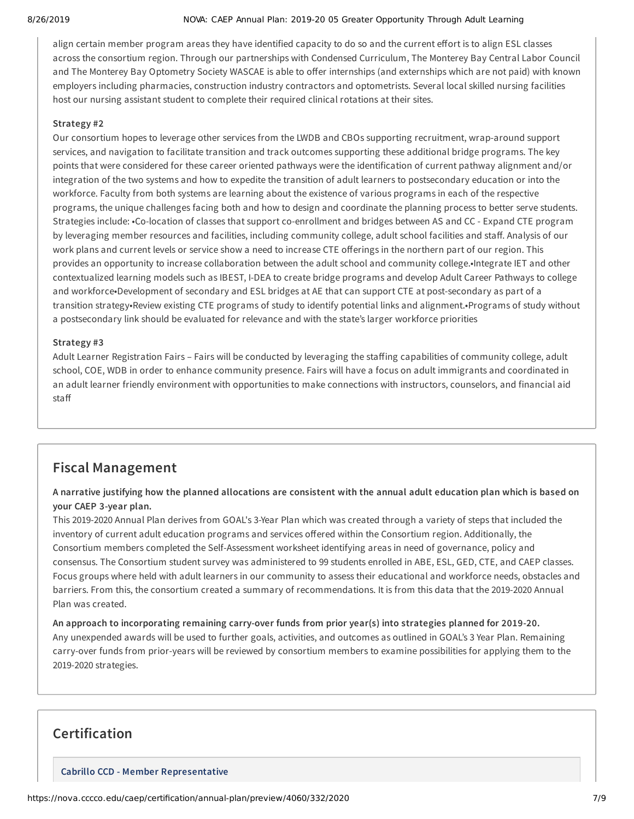#### 8/26/2019 NOVA: CAEP Annual Plan: 2019-20 05 Greater Opportunity Through Adult Learning

align certain member program areas they have identified capacity to do so and the current effort is to align ESL classes across the consortium region. Through our partnerships with Condensed Curriculum, The Monterey Bay Central Labor Council and The Monterey Bay Optometry Society WASCAE is able to offer internships (and externships which are not paid) with known employers including pharmacies, construction industry contractors and optometrists. Several local skilled nursing facilities host our nursing assistant student to complete their required clinical rotations at their sites.

#### **Strategy #2**

Our consortium hopes to leverage other services from the LWDB and CBOs supporting recruitment, wrap-around support services, and navigation to facilitate transition and track outcomes supporting these additional bridge programs. The key points that were considered for these career oriented pathways were the identification of current pathway alignment and/or integration of the two systems and how to expedite the transition of adult learners to postsecondary education or into the workforce. Faculty from both systems are learning about the existence of various programs in each of the respective programs, the unique challenges facing both and how to design and coordinate the planning process to better serve students. Strategies include: •Co-location of classes that support co-enrollment and bridges between AS and CC - Expand CTE program by leveraging member resources and facilities, including community college, adult school facilities and staff. Analysis of our work plans and current levels or service show a need to increase CTE offerings in the northern part of our region. This provides an opportunity to increase collaboration between the adult school and community college.•Integrate IET and other contextualized learning models such as IBEST, I-DEA to create bridge programs and develop Adult Career Pathways to college and workforce•Development of secondary and ESL bridges at AE that can support CTE at post-secondary as part of a transition strategy•Review existing CTE programs of study to identify potential links and alignment.•Programs of study without a postsecondary link should be evaluated for relevance and with the state's larger workforce priorities

#### **Strategy #3**

Adult Learner Registration Fairs – Fairs will be conducted by leveraging the staffing capabilities of community college, adult school, COE, WDB in order to enhance community presence. Fairs will have a focus on adult immigrants and coordinated in an adult learner friendly environment with opportunities to make connections with instructors, counselors, and financial aid staff

## **Fiscal Management**

A narrative justifying how the planned allocations are consistent with the annual adult education plan which is based on **your CAEP 3-year plan.**

This 2019-2020 Annual Plan derives from GOAL's 3-Year Plan which was created through a variety of steps that included the inventory of current adult education programs and services offered within the Consortium region. Additionally, the Consortium members completed the Self-Assessment worksheet identifying areas in need of governance, policy and consensus. The Consortium student survey was administered to 99 students enrolled in ABE, ESL, GED, CTE, and CAEP classes. Focus groups where held with adult learners in our community to assess their educational and workforce needs, obstacles and barriers. From this, the consortium created a summary of recommendations. It is from this data that the 2019-2020 Annual Plan was created.

**An approach to incorporating remaining carry-over funds from prior year(s) into strategies planned for 2019-20.** Any unexpended awards will be used to further goals, activities, and outcomes as outlined in GOAL's 3 Year Plan. Remaining carry-over funds from prior-years will be reviewed by consortium members to examine possibilities for applying them to the 2019-2020 strategies.

## **Certification**

**Cabrillo CCD - Member Representative**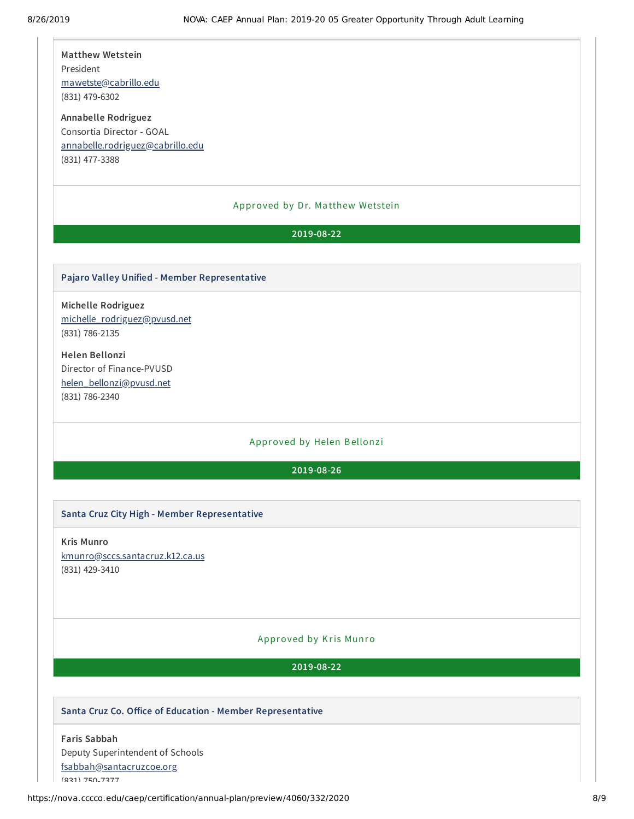**Matthew Wetstein** President [mawetste@cabrillo.edu](mailto:mawetste@cabrillo.edu) (831) 479-6302

**Annabelle Rodriguez** Consortia Director - GOAL [annabelle.rodriguez@cabrillo.edu](mailto:annabelle.rodriguez@cabrillo.edu) (831) 477-3388

#### Approved by Dr. Ma tthew Wetstein

### **2019-08-22**

#### **Pajaro Valley Unified - Member Representative**

**Michelle Rodriguez** [michelle\\_rodriguez@pvusd.net](mailto:michelle_rodriguez@pvusd.net) (831) 786-2135

**Helen Bellonzi** Director of Finance-PVUSD [helen\\_bellonzi@pvusd.net](mailto:helen_bellonzi@pvusd.net) (831) 786-2340

#### Approved by Helen Bellonzi

#### **2019-08-26**

#### **Santa Cruz City High - Member Representative**

**Kris Munro** [kmunro@sccs.santacruz.k12.ca.us](mailto:kmunro@sccs.santacruz.k12.ca.us) (831) 429-3410

#### Approved by Kris Munro

**2019-08-22**

#### **Santa Cruz Co. Oice of Education - Member Representative**

**Faris Sabbah** Deputy Superintendent of Schools [fsabbah@santacruzcoe.org](mailto:fsabbah@santacruzcoe.org) (831) 750-7377